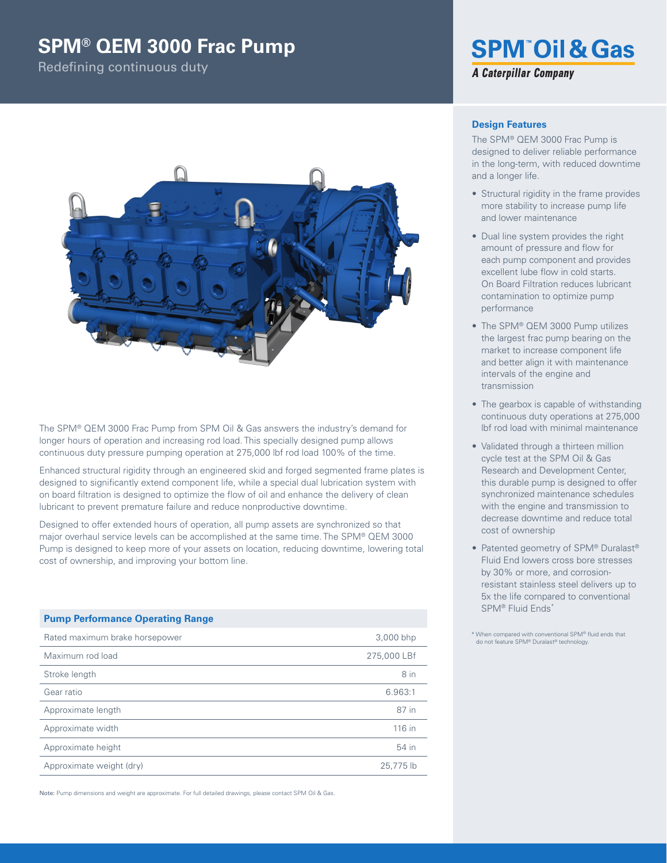# **SPM® QEM 3000 Frac Pump**

Redefining continuous duty



The SPM® QEM 3000 Frac Pump from SPM Oil & Gas answers the industry's demand for longer hours of operation and increasing rod load. This specially designed pump allows continuous duty pressure pumping operation at 275,000 lbf rod load 100% of the time.

Enhanced structural rigidity through an engineered skid and forged segmented frame plates is designed to significantly extend component life, while a special dual lubrication system with on board filtration is designed to optimize the flow of oil and enhance the delivery of clean lubricant to prevent premature failure and reduce nonproductive downtime.

Designed to offer extended hours of operation, all pump assets are synchronized so that major overhaul service levels can be accomplished at the same time. The SPM® QEM 3000 Pump is designed to keep more of your assets on location, reducing downtime, lowering total cost of ownership, and improving your bottom line.

## **Pump Performance Operating Range**

| Rated maximum brake horsepower | 3,000 bhp   |
|--------------------------------|-------------|
| Maximum rod load               | 275,000 LBf |
| Stroke length                  | 8 in        |
| Gear ratio                     | 6.963:1     |
| Approximate length             | 87 in       |
| Approximate width              | 116 in      |
| Approximate height             | 54 in       |
| Approximate weight (dry)       | 25,775 lb   |

Note: Pump dimensions and weight are approximate. For full detailed drawings, please contact SPM Oil & Gas.

# **SPM<sup>®</sup>Oil & Gas A Caterpillar Company**

#### **Design Features**

The SPM® QEM 3000 Frac Pump is designed to deliver reliable performance in the long-term, with reduced downtime and a longer life.

- Structural rigidity in the frame provides more stability to increase pump Iife and lower maintenance
- Dual line system provides the right amount of pressure and flow for each pump component and provides excellent lube flow in cold starts. On Board Filtration reduces lubricant contamination to optimize pump performance
- The SPM® QEM 3000 Pump utilizes the largest frac pump bearing on the market to increase component life and better align it with maintenance intervals of the engine and transmission
- The gearbox is capable of withstanding continuous duty operations at 275,000 lbf rod load with minimal maintenance
- Validated through a thirteen million cycle test at the SPM Oil & Gas Research and Development Center, this durable pump is designed to offer synchronized maintenance schedules with the engine and transmission to decrease downtime and reduce total cost of ownership
- Patented geometry of SPM® Duralast® Fluid End lowers cross bore stresses by 30% or more, and corrosionresistant stainless steel delivers up to 5x the life compared to conventional SPM® Fluid Ends\*

\* When compared with conventional SPM® fluid ends that do not feature SPM® Duralast® technology.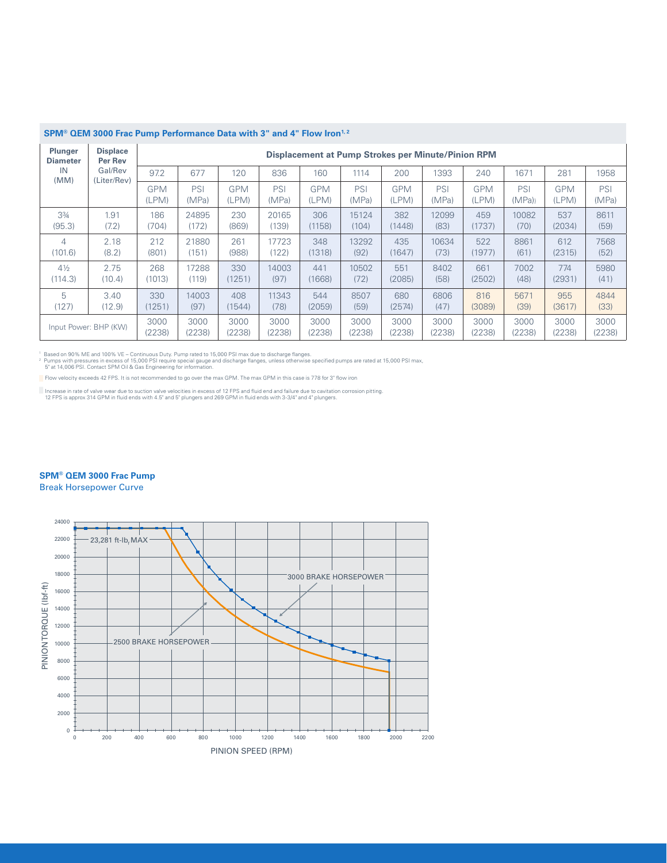| <b>Plunger</b><br><b>Diameter</b> | <b>Displace</b><br>Per Rev | Displacement at Pump Strokes per Minute/Pinion RPM |              |                     |              |                     |              |                     |              |                     |              |                     |              |
|-----------------------------------|----------------------------|----------------------------------------------------|--------------|---------------------|--------------|---------------------|--------------|---------------------|--------------|---------------------|--------------|---------------------|--------------|
| IN<br>(MM)                        | Gal/Rev<br>(Liter/Rev)     | 97.2                                               | 677          | 120                 | 836          | 160                 | 1114         | 200                 | 1393         | 240                 | 1671         | 281                 | 1958         |
|                                   |                            | <b>GPM</b><br>(LPM)                                | PSI<br>(MPa) | <b>GPM</b><br>(LPM) | PSI<br>(MPa) | <b>GPM</b><br>(LPM) | PSI<br>(MPa) | <b>GPM</b><br>(LPM) | PSI<br>(MPa) | <b>GPM</b><br>(LPM) | PSI<br>(MPa) | <b>GPM</b><br>(LPM) | PSI<br>(MPa) |
| $3\frac{3}{4}$                    | 1.91                       | 186                                                | 24895        | 230                 | 20165        | 306                 | 15124        | 382                 | 12099        | 459                 | 10082        | 537                 | 8611         |
| (95.3)                            | (7.2)                      | (704)                                              | (172)        | (869)               | 139          | (1158)              | (104)        | (1448)              | (83)         | (1737)              | (70)         | (2034)              | (59)         |
| 4                                 | 2.18                       | 212                                                | 21880        | 261                 | 17723        | 348                 | 13292        | 435                 | 10634        | 522                 | 8861         | 612                 | 7568         |
| (101.6)                           | (8.2)                      | (801)                                              | (151)        | (988)               | (122)        | (1318)              | (92)         | (1647)              | (73)         | (1977)              | (61)         | (2315)              | (52)         |
| $4\frac{1}{2}$                    | 2.75                       | 268                                                | 17288        | 330                 | 14003        | 441                 | 10502        | 551                 | 8402         | 661                 | 7002         | 774                 | 5980         |
| (114.3)                           | (10.4)                     | (1013)                                             | (119)        | (1251)              | (97)         | (1668)              | (72)         | (2085)              | (58)         | (2502)              | (48)         | (2931)              | (41)         |
| 5                                 | 3.40                       | 330                                                | 14003        | 408                 | 11343        | 544                 | 8507         | 680                 | 6806         | 816                 | 5671         | 955                 | 4844         |
| (127)                             | (12.9)                     | (1251)                                             | (97)         | (1544)              | (78)         | (2059)              | (59)         | (2574)              | (47)         | (3089)              | (39)         | (3617)              | (33)         |
| Input Power: BHP (KW)             |                            | 3000                                               | 3000         | 3000                | 3000         | 3000                | 3000         | 3000                | 3000         | 3000                | 3000         | 3000                | 3000         |
|                                   |                            | (2238)                                             | (2238)       | (2238)              | (2238)       | (2238)              | (2238)       | (2238)              | (2238)       | (2238)              | (2238)       | (2238)              | (2238)       |

#### **SPM® QEM 3000 Frac Pump Performance Data with 3" and 4" Flow Iron1, 2**

'Based on 90% ME and 100% VE – Continuous Duty. Pump rated to 15,000 PSI max due to discharge flanges.<br>? Pumps with pressures in excess of 15,000 PSI require special gauge and discharge flanges, unless otherwise specifie

Flow velocity exceeds 42 FPS. It is not recommended to go over the max GPM. The max GPM in this case is 778 for 3" flow iron

herease in rate of valve wear due to suction valve velocities in excess of 12 FPS and fluid end and failure due to cavitation corrosion pitting.<br>12 FPS is approx 314 GPM in fluid ends with 4.5" and 5" plungers and 269 GPM

### **SPM® QEM 3000 Frac Pump**

Break Horsepower Curve

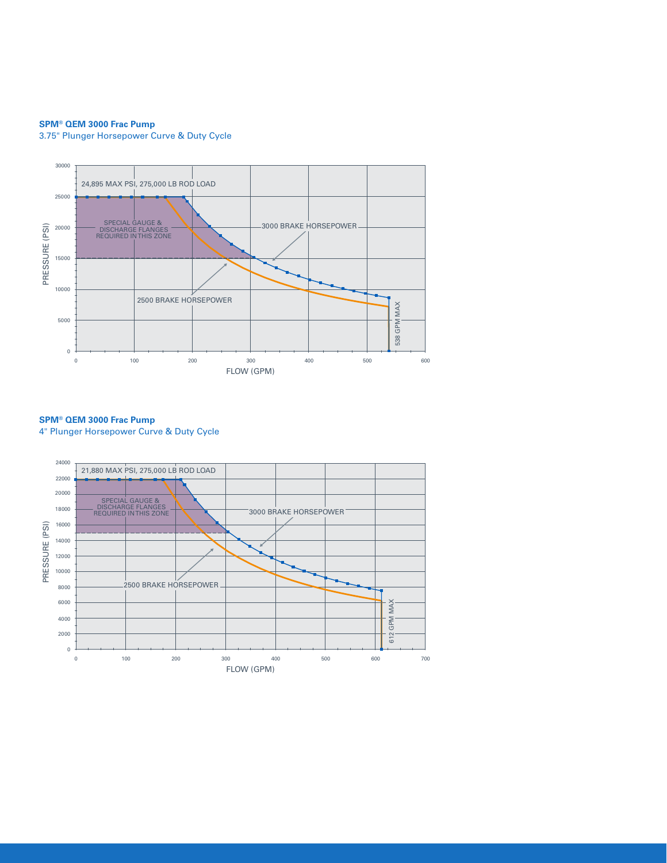#### **SPM® QEM 3000 Frac Pump**

3.75" Plunger Horsepower Curve & Duty Cycle



**SPM® QEM 3000 Frac Pump** 4" Plunger Horsepower Curve & Duty Cycle